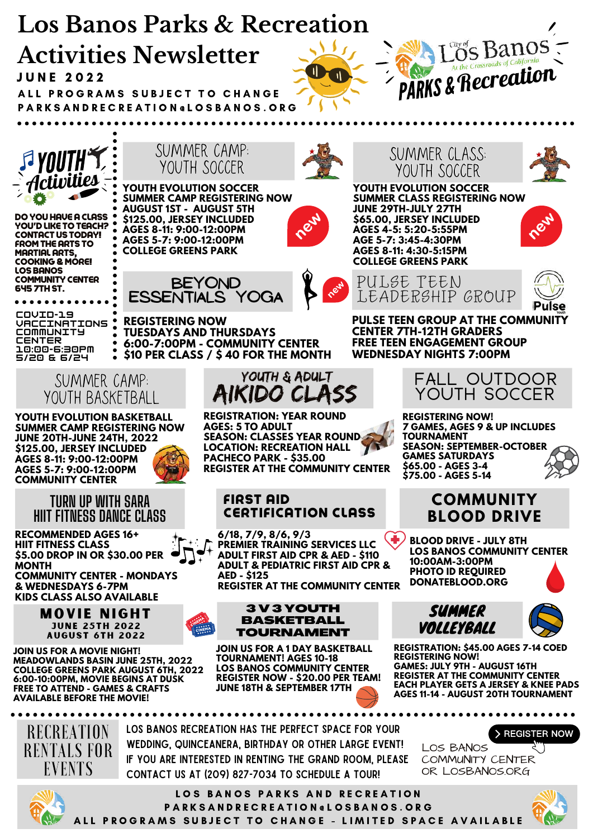



DO YOU HAVE A CLASS YOU'D LIKE TO TEACH? CONTACT US TODAY! FROM THE ARTS TO MARTIAL ARTS, COOKING & MORE! LOS BANOS COMMUNITY CENTER 645 7TH ST.

. . . . . . . **COVID-19 VACCINATIONS COMMUNITY CENTER 10:00-6:30PM 5/20 & 6/24**

> SUMMER CAMP: YOUTH BASKETBALL

 $\bullet$ 

**YOUTH EVOLUTION BASKETBALL SUMMER CAMP REGISTERING NOW JUNE 20TH-JUNE 24TH, 2022 \$125.00, JERSEY INCLUDED AGES 8-11: 9:00-12:00PM AGES 5-7: 9:00-12:00PM COMMUNITY CENTER**

> **TURN UP WITH SARA HIIT FITNESS DANCE CLASS**

**RECOMMENDED AGES 16+ HIIT FITNESS CLASS \$5.00 DROP IN OR \$30.00 PER MONTH COMMUNITY CENTER - MONDAYS & WEDNESDAYS 6-7PM KIDS CLASS ALSO AVAILABLE**

> **MOVIE NIGHT JUNE 25TH 2022 AUGUST 6TH 2022**

**JOIN US FOR A MOVIE NIGHT! MEADOWLANDS BASIN JUNE 25TH, 2022 COLLEGE GREENS PARK AUGUST 6TH, 2022 6:00-10:00PM, MOVIE BEGINS AT DUSK FREE TO ATTEND - GAMES & CRAFTS AVAILABLE BEFORE THE MOVIE!**



*Activities* **SUMMER CAMP REGISTERING NOW AUGUST 1ST - AUGUST 5TH \$125.00, JERSEY INCLUDED AGES 8-11: 9:00-12:00PM AGES 5-7: 9:00-12:00PM COLLEGE GREENS PARK**





**BEYOND ESSENTIALS YOGA**

**REGISTERING NOW TUESDAYS AND THURSDAYS 6:00-7:00PM - COMMUNITY CENTER \$10 PER CLASS / \$ 40 FOR THE MONTH**



**REGISTRATION: YEAR ROUND AGES: 5 TO ADULT SEASON: CLASSES YEAR ROUND LOCATION: RECREATION HALL PACHECO PARK - \$35.00 REGISTER AT THE COMMUNITY CENTER**

## FIRST AID CERTIFICATION CLASS

**6/18, 7/9, 8/6, 9/3 PREMIER TRAINING SERVICES LLC ADULT FIRST AID CPR & AED - \$110 ADULT & PEDIATRIC FIRST AID CPR & AED - \$125 REGISTER AT THE COMMUNITY CENTER**



**JOIN US FOR A 1 DAY BASKETBALL TOURNAMENT! AGES 10-18 LOS BANOS COMMUNITY CENTER REGISTER NOW - \$20.00 PER TEAM! JUNE 18TH & SEPTEMBER 17TH**





**YOUTH EVOLUTION SOCCER SUMMER CLASS REGISTERING NOW JUNE 29TH-JULY 27TH \$65.00, JERSEY INCLUDED AGES 4-5: 5:20-5:55PM AGE 5-7: 3:45-4:30PM AGES 8-11: 4:30-5:15PM COLLEGE GREENS PARK**

**FREE TEEN ENGAGEMENT GROUP WEDNESDAY NIGHTS 7:00PM**



**PULSE TEEN GROUP AT THE COMMUNI CENTER 7TH-12TH GRADERS** PULSE TEEN LEADERSHIP GROUP



**REGISTERING NOW! 7 GAMES, AGES 9 & UP INCLUDES TOURNAMENT SEASON: SEPTEMBER-OCTOBER GAMES SATURDAYS \$65.00 - AGES 3-4 \$75.00 - AGES 5-14**

## **COMMUNITY BLOOD DRIVE**

**BLOOD DRIVE - JULY 8TH LOS BANOS COMMUNITY CENTER 10:00AM-3:00PM PHOTO ID REQUIRED DONATEBLOOD.ORG**





**REGISTRATION: \$45.00 AGES 7-14 COED REGISTERING NOW! GAMES: JULY 9TH - AUGUST 16TH REGISTER AT THE COMMUNITY CENTER EACH PLAYER GETS A JERSEY & KNEE PADS AGES 11-14 - AUGUST 20TH TOURNAMENT**

> COMMUNITY CENTER OR LOSBANOS.ORG

LOS BANOS

RECREATION RENTALS FOR EVENTS

Los Banos Recreation has the perfect space for your wedding, quinceanera, birthday or other large event! If you are interested in renting the Grand Room, please contact us at (209) 827-7034 to schedule a tour!



LOS BANOS PARKS AND RECREATION P A R K S A N D R E C R E A T I O N @ L O S B A N O S . O R G ALL PROGRAMS SUBJECT TO CHANGE - LIMITED SPACE AVAILABLE



> REGISTER NOW